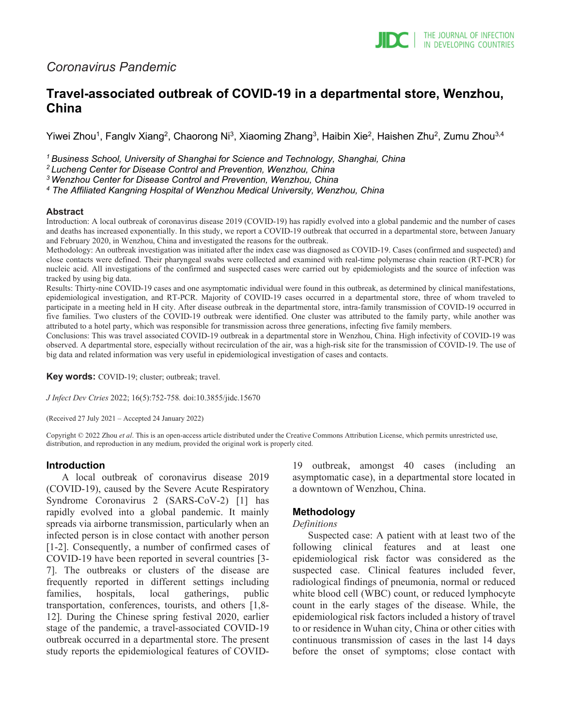# *Coronavirus Pandemic*

# **Travel-associated outbreak of COVID-19 in a departmental store, Wenzhou, China**

Yiwei Zhou<sup>1</sup>, Fanglv Xiang<sup>2</sup>, Chaorong Ni<sup>3</sup>, Xiaoming Zhang<sup>3</sup>, Haibin Xie<sup>2</sup>, Haishen Zhu<sup>2</sup>, Zumu Zhou<sup>3,4</sup>

*1 Business School, University of Shanghai for Science and Technology, Shanghai, China*

*2 Lucheng Center for Disease Control and Prevention, Wenzhou, China*

*3 Wenzhou Center for Disease Control and Prevention, Wenzhou, China*

*<sup>4</sup> The Affiliated Kangning Hospital of Wenzhou Medical University, Wenzhou, China*

#### **Abstract**

Introduction: A local outbreak of coronavirus disease 2019 (COVID-19) has rapidly evolved into a global pandemic and the number of cases and deaths has increased exponentially. In this study, we report a COVID-19 outbreak that occurred in a departmental store, between January and February 2020, in Wenzhou, China and investigated the reasons for the outbreak.

Methodology: An outbreak investigation was initiated after the index case was diagnosed as COVID-19. Cases (confirmed and suspected) and close contacts were defined. Their pharyngeal swabs were collected and examined with real-time polymerase chain reaction (RT-PCR) for nucleic acid. All investigations of the confirmed and suspected cases were carried out by epidemiologists and the source of infection was tracked by using big data.

Results: Thirty-nine COVID-19 cases and one asymptomatic individual were found in this outbreak, as determined by clinical manifestations, epidemiological investigation, and RT-PCR. Majority of COVID-19 cases occurred in a departmental store, three of whom traveled to participate in a meeting held in H city. After disease outbreak in the departmental store, intra-family transmission of COVID-19 occurred in five families. Two clusters of the COVID-19 outbreak were identified. One cluster was attributed to the family party, while another was attributed to a hotel party, which was responsible for transmission across three generations, infecting five family members.

Conclusions: This was travel associated COVID-19 outbreak in a departmental store in Wenzhou, China. High infectivity of COVID-19 was observed. A departmental store, especially without recirculation of the air, was a high-risk site for the transmission of COVID-19. The use of big data and related information was very useful in epidemiological investigation of cases and contacts.

**Key words:** COVID-19; cluster; outbreak; travel.

*J Infect Dev Ctries* 2022; 16(5):752-758*.* doi:10.3855/jidc.15670

(Received 27 July 2021 – Accepted 24 January 2022)

Copyright © 2022 Zhou *et al*. This is an open-access article distributed under the Creative Commons Attribution License, which permits unrestricted use, distribution, and reproduction in any medium, provided the original work is properly cited.

#### **Introduction**

A local outbreak of coronavirus disease 2019 (COVID-19), caused by the Severe Acute Respiratory Syndrome Coronavirus 2 (SARS-CoV-2) [1] has rapidly evolved into a global pandemic. It mainly spreads via airborne transmission, particularly when an infected person is in close contact with another person [1-2]. Consequently, a number of confirmed cases of COVID-19 have been reported in several countries [3- 7]. The outbreaks or clusters of the disease are frequently reported in different settings including families, hospitals, local gatherings, public transportation, conferences, tourists, and others [1,8- 12]. During the Chinese spring festival 2020, earlier stage of the pandemic, a travel-associated COVID-19 outbreak occurred in a departmental store. The present study reports the epidemiological features of COVID-

19 outbreak, amongst 40 cases (including an asymptomatic case), in a departmental store located in a downtown of Wenzhou, China.

## **Methodology**

#### *Definitions*

Suspected case: A patient with at least two of the following clinical features and at least one epidemiological risk factor was considered as the suspected case. Clinical features included fever, radiological findings of pneumonia, normal or reduced white blood cell (WBC) count, or reduced lymphocyte count in the early stages of the disease. While, the epidemiological risk factors included a history of travel to or residence in Wuhan city, China or other cities with continuous transmission of cases in the last 14 days before the onset of symptoms; close contact with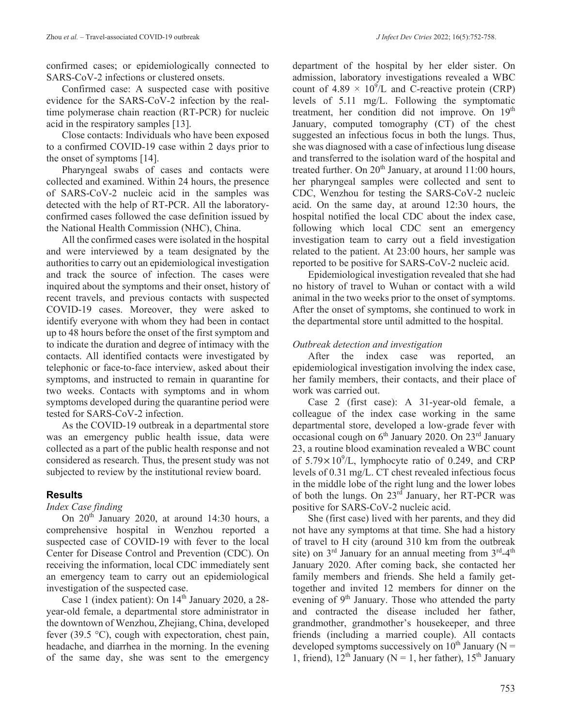confirmed cases; or epidemiologically connected to SARS-CoV-2 infections or clustered onsets.

Confirmed case: A suspected case with positive evidence for the SARS-CoV-2 infection by the realtime polymerase chain reaction (RT-PCR) for nucleic acid in the respiratory samples [13].

Close contacts: Individuals who have been exposed to a confirmed COVID-19 case within 2 days prior to the onset of symptoms [14].

Pharyngeal swabs of cases and contacts were collected and examined. Within 24 hours, the presence of SARS-CoV-2 nucleic acid in the samples was detected with the help of RT-PCR. All the laboratoryconfirmed cases followed the case definition issued by the National Health Commission (NHC), China.

All the confirmed cases were isolated in the hospital and were interviewed by a team designated by the authorities to carry out an epidemiological investigation and track the source of infection. The cases were inquired about the symptoms and their onset, history of recent travels, and previous contacts with suspected COVID-19 cases. Moreover, they were asked to identify everyone with whom they had been in contact up to 48 hours before the onset of the first symptom and to indicate the duration and degree of intimacy with the contacts. All identified contacts were investigated by telephonic or face-to-face interview, asked about their symptoms, and instructed to remain in quarantine for two weeks. Contacts with symptoms and in whom symptoms developed during the quarantine period were tested for SARS-CoV-2 infection.

As the COVID-19 outbreak in a departmental store was an emergency public health issue, data were collected as a part of the public health response and not considered as research. Thus, the present study was not subjected to review by the institutional review board.

## **Results**

## *Index Case finding*

On  $20<sup>th</sup>$  January 2020, at around 14:30 hours, a comprehensive hospital in Wenzhou reported a suspected case of COVID-19 with fever to the local Center for Disease Control and Prevention (CDC). On receiving the information, local CDC immediately sent an emergency team to carry out an epidemiological investigation of the suspected case.

Case 1 (index patient): On  $14<sup>th</sup>$  January 2020, a 28year-old female, a departmental store administrator in the downtown of Wenzhou, Zhejiang, China, developed fever (39.5  $\degree$ C), cough with expectoration, chest pain, headache, and diarrhea in the morning. In the evening of the same day, she was sent to the emergency department of the hospital by her elder sister. On admission, laboratory investigations revealed a WBC count of 4.89  $\times$  10<sup>9</sup>/L and C-reactive protein (CRP) levels of 5.11 mg/L. Following the symptomatic treatment, her condition did not improve. On 19<sup>th</sup> January, computed tomography (CT) of the chest suggested an infectious focus in both the lungs. Thus, she was diagnosed with a case of infectious lung disease and transferred to the isolation ward of the hospital and treated further. On  $20<sup>th</sup>$  January, at around 11:00 hours, her pharyngeal samples were collected and sent to CDC, Wenzhou for testing the SARS-CoV-2 nucleic acid. On the same day, at around 12:30 hours, the hospital notified the local CDC about the index case, following which local CDC sent an emergency investigation team to carry out a field investigation related to the patient. At 23:00 hours, her sample was reported to be positive for SARS-CoV-2 nucleic acid.

Epidemiological investigation revealed that she had no history of travel to Wuhan or contact with a wild animal in the two weeks prior to the onset of symptoms. After the onset of symptoms, she continued to work in the departmental store until admitted to the hospital.

## *Outbreak detection and investigation*

After the index case was reported, an epidemiological investigation involving the index case, her family members, their contacts, and their place of work was carried out.

Case 2 (first case): A 31-year-old female, a colleague of the index case working in the same departmental store, developed a low-grade fever with occasional cough on  $6<sup>th</sup>$  January 2020. On  $23<sup>rd</sup>$  January 23, a routine blood examination revealed a WBC count of  $5.79 \times 10^9$ /L, lymphocyte ratio of 0.249, and CRP levels of 0.31 mg/L. CT chest revealed infectious focus in the middle lobe of the right lung and the lower lobes of both the lungs. On 23rd January, her RT-PCR was positive for SARS-CoV-2 nucleic acid.

She (first case) lived with her parents, and they did not have any symptoms at that time. She had a history of travel to H city (around 310 km from the outbreak site) on  $3<sup>rd</sup>$  January for an annual meeting from  $3<sup>rd</sup>-4<sup>th</sup>$ January 2020. After coming back, she contacted her family members and friends. She held a family gettogether and invited 12 members for dinner on the evening of  $9<sup>th</sup>$  January. Those who attended the party and contracted the disease included her father, grandmother, grandmother's housekeeper, and three friends (including a married couple). All contacts developed symptoms successively on  $10^{th}$  January (N = 1, friend),  $12^{th}$  January (N = 1, her father),  $15^{th}$  January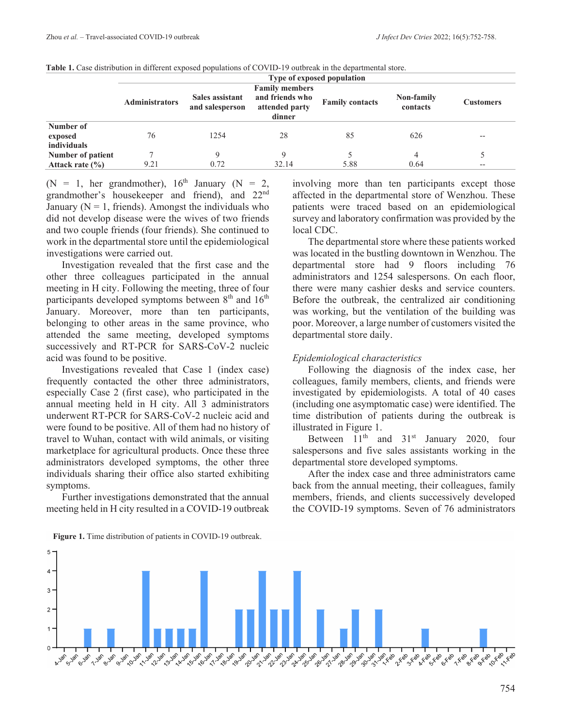|                     | Type of exposed population<br><b>Family members</b> |                                    |                                             |                        |                        |                  |
|---------------------|-----------------------------------------------------|------------------------------------|---------------------------------------------|------------------------|------------------------|------------------|
|                     | <b>Administrators</b>                               | Sales assistant<br>and salesperson | and friends who<br>attended party<br>dinner | <b>Family contacts</b> | Non-family<br>contacts | <b>Customers</b> |
| Number of           |                                                     |                                    |                                             |                        |                        |                  |
| exposed             | 76                                                  | 1254                               | 28                                          | 85                     | 626                    | $- -$            |
| individuals         |                                                     |                                    |                                             |                        |                        |                  |
| Number of patient   |                                                     |                                    |                                             |                        | 4                      |                  |
| Attack rate $(\% )$ | 9.21                                                | 0.72                               | 32.14                                       | 5.88                   | 0.64                   | $- -$            |

**Table 1.** Case distribution in different exposed populations of COVID-19 outbreak in the departmental store.

(N = 1, her grandmother),  $16<sup>th</sup>$  January (N = 2, grandmother's housekeeper and friend), and 22nd January ( $N = 1$ , friends). Amongst the individuals who did not develop disease were the wives of two friends and two couple friends (four friends). She continued to work in the departmental store until the epidemiological investigations were carried out.

Investigation revealed that the first case and the other three colleagues participated in the annual meeting in H city. Following the meeting, three of four participants developed symptoms between  $8<sup>th</sup>$  and  $16<sup>th</sup>$ January. Moreover, more than ten participants, belonging to other areas in the same province, who attended the same meeting, developed symptoms successively and RT-PCR for SARS-CoV-2 nucleic acid was found to be positive.

Investigations revealed that Case 1 (index case) frequently contacted the other three administrators, especially Case 2 (first case), who participated in the annual meeting held in H city. All 3 administrators underwent RT-PCR for SARS-CoV-2 nucleic acid and were found to be positive. All of them had no history of travel to Wuhan, contact with wild animals, or visiting marketplace for agricultural products. Once these three administrators developed symptoms, the other three individuals sharing their office also started exhibiting symptoms.

Further investigations demonstrated that the annual meeting held in H city resulted in a COVID-19 outbreak involving more than ten participants except those affected in the departmental store of Wenzhou. These patients were traced based on an epidemiological survey and laboratory confirmation was provided by the local CDC. The departmental store where these patients worked

was located in the bustling downtown in Wenzhou. The departmental store had 9 floors including 76 administrators and 1254 salespersons. On each floor, there were many cashier desks and service counters. Before the outbreak, the centralized air conditioning was working, but the ventilation of the building was poor. Moreover, a large number of customers visited the departmental store daily.

### *Epidemiological characteristics*

Following the diagnosis of the index case, her colleagues, family members, clients, and friends were investigated by epidemiologists. A total of 40 cases (including one asymptomatic case) were identified. The time distribution of patients during the outbreak is illustrated in Figure 1.

Between  $11<sup>th</sup>$  and  $31<sup>st</sup>$  January 2020, four salespersons and five sales assistants working in the departmental store developed symptoms.

After the index case and three administrators came back from the annual meeting, their colleagues, family members, friends, and clients successively developed the COVID-19 symptoms. Seven of 76 administrators



**Figure 1.** Time distribution of patients in COVID-19 outbreak.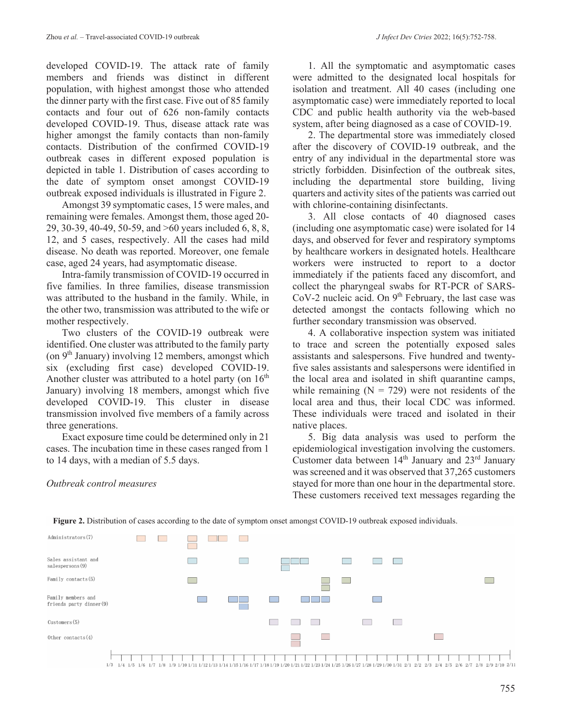developed COVID-19. The attack rate of family members and friends was distinct in different population, with highest amongst those who attended the dinner party with the first case. Five out of 85 family contacts and four out of 626 non-family contacts developed COVID-19. Thus, disease attack rate was higher amongst the family contacts than non-family contacts. Distribution of the confirmed COVID-19 outbreak cases in different exposed population is depicted in table 1. Distribution of cases according to the date of symptom onset amongst COVID-19 outbreak exposed individuals is illustrated in Figure 2.

Amongst 39 symptomatic cases, 15 were males, and remaining were females. Amongst them, those aged 20- 29, 30-39, 40-49, 50-59, and >60 years included 6, 8, 8, 12, and 5 cases, respectively. All the cases had mild disease. No death was reported. Moreover, one female case, aged 24 years, had asymptomatic disease.

Intra-family transmission of COVID-19 occurred in five families. In three families, disease transmission was attributed to the husband in the family. While, in the other two, transmission was attributed to the wife or mother respectively.

Two clusters of the COVID-19 outbreak were identified. One cluster was attributed to the family party (on  $9<sup>th</sup>$  January) involving 12 members, amongst which six (excluding first case) developed COVID-19. Another cluster was attributed to a hotel party (on  $16<sup>th</sup>$ January) involving 18 members, amongst which five developed COVID-19. This cluster in disease transmission involved five members of a family across three generations.

Exact exposure time could be determined only in 21 cases. The incubation time in these cases ranged from 1 to 14 days, with a median of 5.5 days.

*Outbreak control measures* 

1. All the symptomatic and asymptomatic cases were admitted to the designated local hospitals for isolation and treatment. All 40 cases (including one asymptomatic case) were immediately reported to local CDC and public health authority via the web-based system, after being diagnosed as a case of COVID-19.

2. The departmental store was immediately closed after the discovery of COVID-19 outbreak, and the entry of any individual in the departmental store was strictly forbidden. Disinfection of the outbreak sites, including the departmental store building, living quarters and activity sites of the patients was carried out with chlorine-containing disinfectants.

3. All close contacts of 40 diagnosed cases (including one asymptomatic case) were isolated for 14 days, and observed for fever and respiratory symptoms by healthcare workers in designated hotels. Healthcare workers were instructed to report to a doctor immediately if the patients faced any discomfort, and collect the pharyngeal swabs for RT-PCR of SARS-CoV-2 nucleic acid. On  $9<sup>th</sup>$  February, the last case was detected amongst the contacts following which no further secondary transmission was observed.

4. A collaborative inspection system was initiated to trace and screen the potentially exposed sales assistants and salespersons. Five hundred and twentyfive sales assistants and salespersons were identified in the local area and isolated in shift quarantine camps, while remaining  $(N = 729)$  were not residents of the local area and thus, their local CDC was informed. These individuals were traced and isolated in their native places.

5. Big data analysis was used to perform the epidemiological investigation involving the customers. Customer data between 14<sup>th</sup> January and 23<sup>rd</sup> January was screened and it was observed that 37,265 customers stayed for more than one hour in the departmental store. These customers received text messages regarding the





 $1/3 \quad 1/4 \quad 1/5 \quad 1/6 \quad 1/7 \quad 1/8 \quad 1/9 \quad 1/10 \quad 1/11 \quad 1/12 \quad 1/13 \quad 1/14 \quad 1/15 \quad 1/16 \quad 1/17 \quad 1/18 \quad 1/19 \quad 1/20 \quad 1/21 \quad 1/22 \quad 1/23 \quad 1/24 \quad 1/25 \quad 1/26 \quad 1/27 \quad 1/28 \quad 1/29 \quad 1/30 \quad 1/31 \quad 2/1 \quad 2/2 \quad 2/3 \quad 2/4 \quad$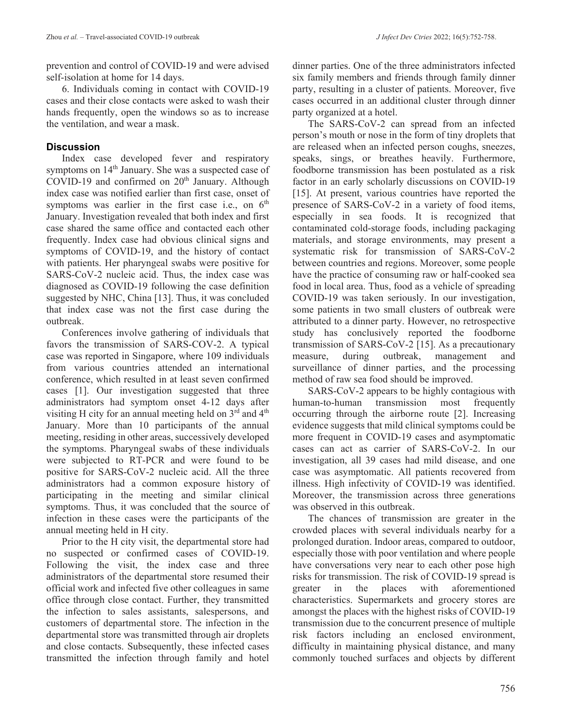prevention and control of COVID-19 and were advised self-isolation at home for 14 days.

6. Individuals coming in contact with COVID-19 cases and their close contacts were asked to wash their hands frequently, open the windows so as to increase the ventilation, and wear a mask.

# **Discussion**

Index case developed fever and respiratory symptoms on 14<sup>th</sup> January. She was a suspected case of  $COVID-19$  and confirmed on  $20<sup>th</sup>$  January. Although index case was notified earlier than first case, onset of symptoms was earlier in the first case i.e., on  $6<sup>th</sup>$ January. Investigation revealed that both index and first case shared the same office and contacted each other frequently. Index case had obvious clinical signs and symptoms of COVID-19, and the history of contact with patients. Her pharyngeal swabs were positive for SARS-CoV-2 nucleic acid. Thus, the index case was diagnosed as COVID-19 following the case definition suggested by NHC, China [13]. Thus, it was concluded that index case was not the first case during the outbreak.

Conferences involve gathering of individuals that favors the transmission of SARS-COV-2. A typical case was reported in Singapore, where 109 individuals from various countries attended an international conference, which resulted in at least seven confirmed cases [1]. Our investigation suggested that three administrators had symptom onset 4-12 days after visiting H city for an annual meeting held on  $3^{rd}$  and  $4^{th}$ January. More than 10 participants of the annual meeting, residing in other areas, successively developed the symptoms. Pharyngeal swabs of these individuals were subjected to RT-PCR and were found to be positive for SARS-CoV-2 nucleic acid. All the three administrators had a common exposure history of participating in the meeting and similar clinical symptoms. Thus, it was concluded that the source of infection in these cases were the participants of the annual meeting held in H city.

Prior to the H city visit, the departmental store had no suspected or confirmed cases of COVID-19. Following the visit, the index case and three administrators of the departmental store resumed their official work and infected five other colleagues in same office through close contact. Further, they transmitted the infection to sales assistants, salespersons, and customers of departmental store. The infection in the departmental store was transmitted through air droplets and close contacts. Subsequently, these infected cases transmitted the infection through family and hotel

dinner parties. One of the three administrators infected six family members and friends through family dinner party, resulting in a cluster of patients. Moreover, five cases occurred in an additional cluster through dinner party organized at a hotel.

The SARS-CoV-2 can spread from an infected person's mouth or nose in the form of tiny droplets that are released when an infected person coughs, sneezes, speaks, sings, or breathes heavily. Furthermore, foodborne transmission has been postulated as a risk factor in an early scholarly discussions on COVID-19 [15]. At present, various countries have reported the presence of SARS-CoV-2 in a variety of food items, especially in sea foods. It is recognized that contaminated cold-storage foods, including packaging materials, and storage environments, may present a systematic risk for transmission of SARS-CoV-2 between countries and regions. Moreover, some people have the practice of consuming raw or half-cooked sea food in local area. Thus, food as a vehicle of spreading COVID-19 was taken seriously. In our investigation, some patients in two small clusters of outbreak were attributed to a dinner party. However, no retrospective study has conclusively reported the foodborne transmission of SARS-CoV-2 [15]. As a precautionary measure, during outbreak, management and surveillance of dinner parties, and the processing method of raw sea food should be improved.

SARS-CoV-2 appears to be highly contagious with human-to-human transmission most frequently occurring through the airborne route [2]. Increasing evidence suggests that mild clinical symptoms could be more frequent in COVID-19 cases and asymptomatic cases can act as carrier of SARS-CoV-2. In our investigation, all 39 cases had mild disease, and one case was asymptomatic. All patients recovered from illness. High infectivity of COVID-19 was identified. Moreover, the transmission across three generations was observed in this outbreak.

The chances of transmission are greater in the crowded places with several individuals nearby for a prolonged duration. Indoor areas, compared to outdoor, especially those with poor ventilation and where people have conversations very near to each other pose high risks for transmission. The risk of COVID-19 spread is greater in the places with aforementioned characteristics. Supermarkets and grocery stores are amongst the places with the highest risks of COVID-19 transmission due to the concurrent presence of multiple risk factors including an enclosed environment, difficulty in maintaining physical distance, and many commonly touched surfaces and objects by different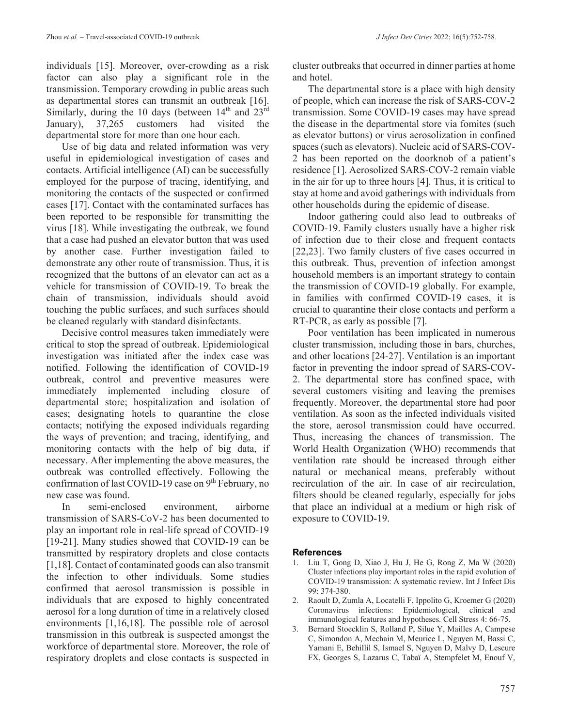individuals [15]. Moreover, over-crowding as a risk factor can also play a significant role in the transmission. Temporary crowding in public areas such as departmental stores can transmit an outbreak [16]. Similarly, during the 10 days (between  $14<sup>th</sup>$  and  $23<sup>rd</sup>$ January), 37,265 customers had visited the departmental store for more than one hour each.

Use of big data and related information was very useful in epidemiological investigation of cases and contacts. Artificial intelligence (AI) can be successfully employed for the purpose of tracing, identifying, and monitoring the contacts of the suspected or confirmed cases [17]. Contact with the contaminated surfaces has been reported to be responsible for transmitting the virus [18]. While investigating the outbreak, we found that a case had pushed an elevator button that was used by another case. Further investigation failed to demonstrate any other route of transmission. Thus, it is recognized that the buttons of an elevator can act as a vehicle for transmission of COVID-19. To break the chain of transmission, individuals should avoid touching the public surfaces, and such surfaces should be cleaned regularly with standard disinfectants.

Decisive control measures taken immediately were critical to stop the spread of outbreak. Epidemiological investigation was initiated after the index case was notified. Following the identification of COVID-19 outbreak, control and preventive measures were immediately implemented including closure of departmental store; hospitalization and isolation of cases; designating hotels to quarantine the close contacts; notifying the exposed individuals regarding the ways of prevention; and tracing, identifying, and monitoring contacts with the help of big data, if necessary. After implementing the above measures, the outbreak was controlled effectively. Following the confirmation of last COVID-19 case on  $9<sup>th</sup>$  February, no new case was found.

In semi-enclosed environment, airborne transmission of SARS-CoV-2 has been documented to play an important role in real-life spread of COVID-19 [19-21]. Many studies showed that COVID-19 can be transmitted by respiratory droplets and close contacts [1,18]. Contact of contaminated goods can also transmit the infection to other individuals. Some studies confirmed that aerosol transmission is possible in individuals that are exposed to highly concentrated aerosol for a long duration of time in a relatively closed environments [1,16,18]. The possible role of aerosol transmission in this outbreak is suspected amongst the workforce of departmental store. Moreover, the role of respiratory droplets and close contacts is suspected in

cluster outbreaks that occurred in dinner parties at home and hotel.

The departmental store is a place with high density of people, which can increase the risk of SARS-COV-2 transmission. Some COVID-19 cases may have spread the disease in the departmental store via fomites (such as elevator buttons) or virus aerosolization in confined spaces (such as elevators). Nucleic acid of SARS-COV-2 has been reported on the doorknob of a patient's residence [1]. Aerosolized SARS-COV-2 remain viable in the air for up to three hours [4]. Thus, it is critical to stay at home and avoid gatherings with individuals from other households during the epidemic of disease.

Indoor gathering could also lead to outbreaks of COVID-19. Family clusters usually have a higher risk of infection due to their close and frequent contacts [22,23]. Two family clusters of five cases occurred in this outbreak. Thus, prevention of infection amongst household members is an important strategy to contain the transmission of COVID-19 globally. For example, in families with confirmed COVID-19 cases, it is crucial to quarantine their close contacts and perform a RT-PCR, as early as possible [7].

Poor ventilation has been implicated in numerous cluster transmission, including those in bars, churches, and other locations [24-27]. Ventilation is an important factor in preventing the indoor spread of SARS-COV-2. The departmental store has confined space, with several customers visiting and leaving the premises frequently. Moreover, the departmental store had poor ventilation. As soon as the infected individuals visited the store, aerosol transmission could have occurred. Thus, increasing the chances of transmission. The World Health Organization (WHO) recommends that ventilation rate should be increased through either natural or mechanical means, preferably without recirculation of the air. In case of air recirculation, filters should be cleaned regularly, especially for jobs that place an individual at a medium or high risk of exposure to COVID-19.

#### **References**

- 1. Liu T, Gong D, Xiao J, Hu J, He G, Rong Z, Ma W (2020) Cluster infections play important roles in the rapid evolution of COVID-19 transmission: A systematic review. Int J Infect Dis 99: 374-380.
- 2. Raoult D, Zumla A, Locatelli F, Ippolito G, Kroemer G (2020) Coronavirus infections: Epidemiological, clinical and immunological features and hypotheses. Cell Stress 4: 66-75.
- 3. Bernard Stoecklin S, Rolland P, Silue Y, Mailles A, Campese C, Simondon A, Mechain M, Meurice L, Nguyen M, Bassi C, Yamani E, Behillil S, Ismael S, Nguyen D, Malvy D, Lescure FX, Georges S, Lazarus C, Tabaï A, Stempfelet M, Enouf V,